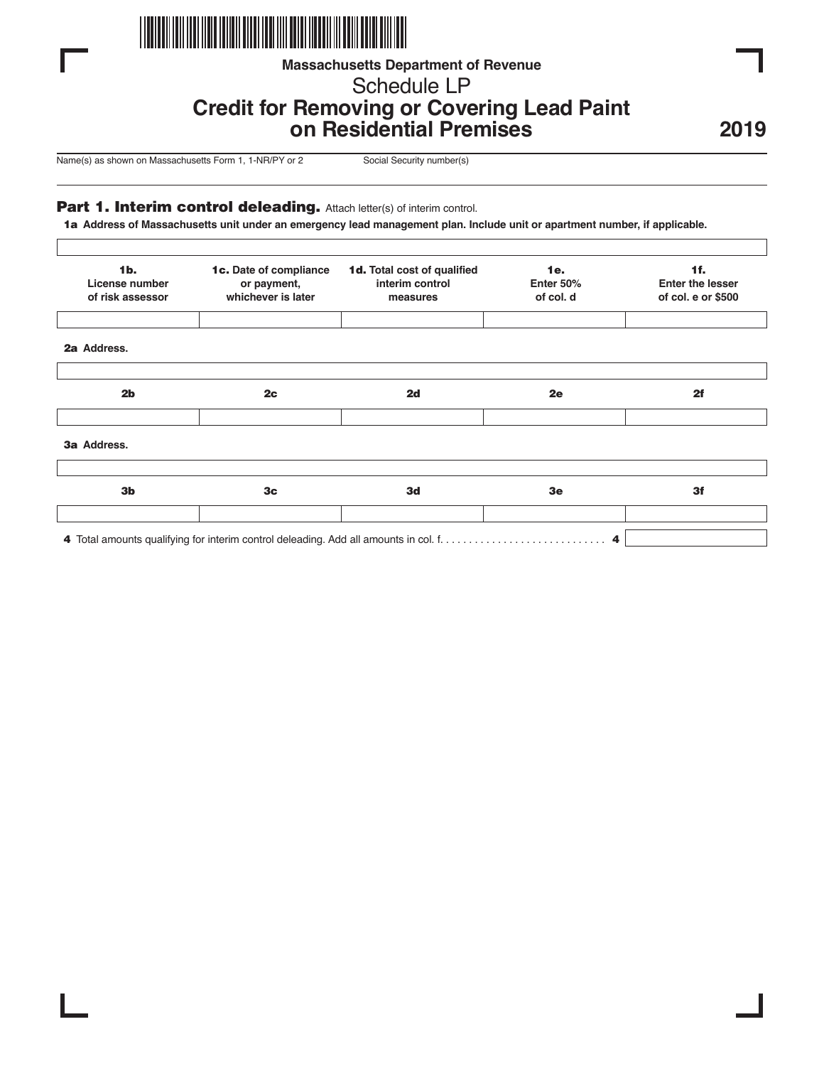

# **Massachusetts Department of Revenue**

Schedule LP

# **Credit for Removing or Covering Lead Paint on Residential Premises**

**2019**

Name(s) as shown on Massachusetts Form 1, 1-NR/PY or 2 Social Security number(s)

## Part 1. Interim control deleading. Attach letter(s) of interim control.

11a **Address of Massachusetts unit under an emergency lead management plan. Include unit or apartment number, if applicable.**

| $1b$ .<br>License number<br>of risk assessor | 1c. Date of compliance<br>or payment,<br>whichever is later | 1d. Total cost of qualified<br>interim control<br>measures | <b>1e.</b><br>Enter 50%<br>of col. d | 1f.<br><b>Enter the lesser</b><br>of col. e or \$500 |
|----------------------------------------------|-------------------------------------------------------------|------------------------------------------------------------|--------------------------------------|------------------------------------------------------|
| 2a Address.                                  |                                                             |                                                            |                                      |                                                      |
| 2 <sub>b</sub>                               | 2c                                                          | 2d                                                         | 2e                                   | 2f                                                   |
| 3a Address.                                  |                                                             |                                                            |                                      |                                                      |
| 3 <sub>b</sub>                               | 3 <sub>c</sub>                                              | 3d                                                         | 3 <sub>e</sub>                       | 3f                                                   |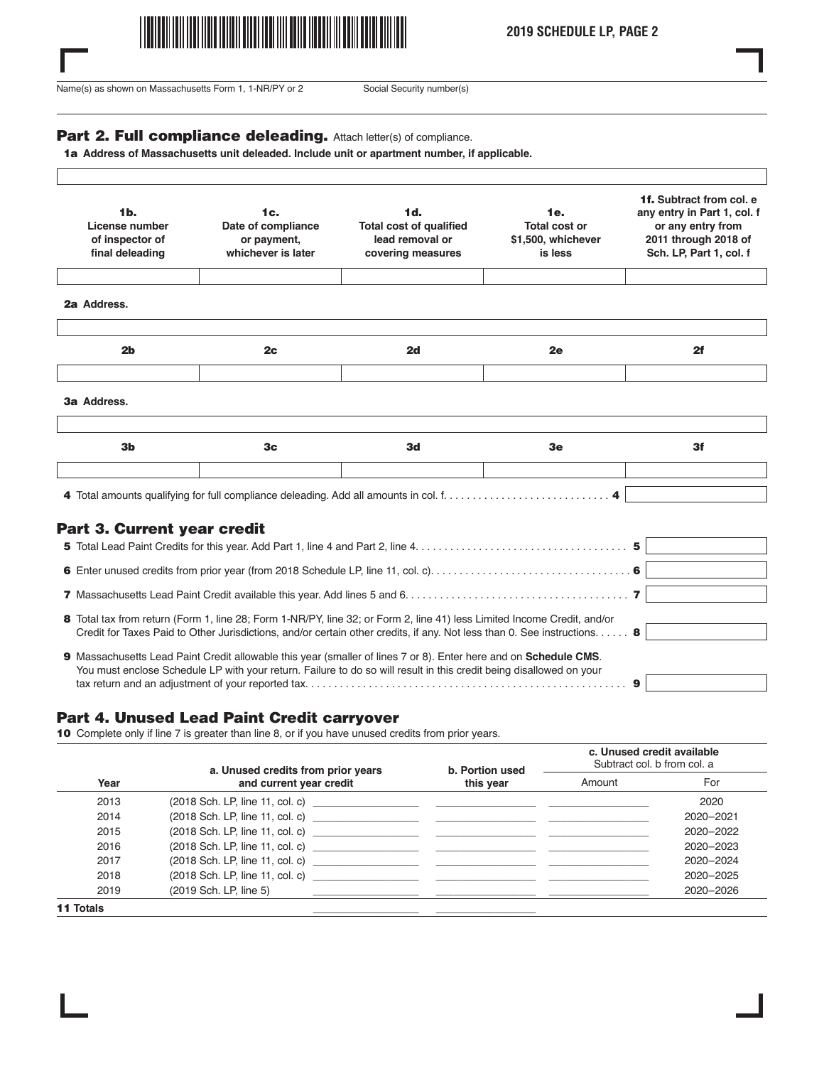

**2019 SCHEDULE LP, PAGE 2**

Name(s) as shown on Massachusetts Form 1, 1-NR/PY or 2 Social Security number(s)

 $\Gamma$ 

#### Part 2. Full compliance deleading. Attach letter(s) of compliance.

1a Address of Massachusetts unit deleaded. Include unit or apartment number, if applicable.

| 1 <sub>b</sub><br>License number<br>of inspector of<br>final deleading | 1c.<br>Date of compliance<br>or payment,<br>whichever is later | 1d.<br><b>Total cost of qualified</b><br>lead removal or<br>covering measures | 1e.<br>Total cost or<br>\$1,500, whichever<br>is less | 1f. Subtract from col. e<br>any entry in Part 1, col. f<br>or any entry from<br>2011 through 2018 of<br>Sch. LP, Part 1, col. f |
|------------------------------------------------------------------------|----------------------------------------------------------------|-------------------------------------------------------------------------------|-------------------------------------------------------|---------------------------------------------------------------------------------------------------------------------------------|
| 2a Address.                                                            |                                                                |                                                                               |                                                       |                                                                                                                                 |
| 2 <sub>b</sub>                                                         | 2c                                                             | 2d                                                                            | 2e                                                    | 2f                                                                                                                              |
| 3a Address.                                                            |                                                                |                                                                               |                                                       |                                                                                                                                 |
| 3 <sub>b</sub>                                                         | 3 <sub>c</sub>                                                 | 3d                                                                            | 3e                                                    | 3f                                                                                                                              |

# Part 3. Current year credit

| 8 Total tax from return (Form 1, line 28; Form 1-NR/PY, line 32; or Form 2, line 41) less Limited Income Credit, and/or<br>Credit for Taxes Paid to Other Jurisdictions, and/or certain other credits, if any. Not less than 0. See instructions 8 |  |
|----------------------------------------------------------------------------------------------------------------------------------------------------------------------------------------------------------------------------------------------------|--|
| 9 Massachusetts Lead Paint Credit allowable this year (smaller of lines 7 or 8). Enter here and on Schedule CMS.<br>You must enclose Schedule LP with your return. Failure to do so will result in this credit being disallowed on your            |  |

#### Part 4. Unused Lead Paint Credit carryover

10 Complete only if line 7 is greater than line 8, or if you have unused credits from prior years.

|                  | a. Unused credits from prior years | b. Portion used<br>this year | c. Unused credit available<br>Subtract col. b from col. a |           |
|------------------|------------------------------------|------------------------------|-----------------------------------------------------------|-----------|
| Year             | and current year credit            |                              | Amount                                                    | For       |
| 2013             |                                    |                              |                                                           | 2020      |
| 2014             |                                    |                              |                                                           | 2020-2021 |
| 2015             |                                    |                              |                                                           | 2020-2022 |
| 2016             |                                    |                              |                                                           | 2020-2023 |
| 2017             |                                    |                              |                                                           | 2020-2024 |
| 2018             |                                    |                              |                                                           | 2020-2025 |
| 2019             | (2019 Sch. LP, line 5)             |                              |                                                           | 2020-2026 |
| <b>11 Totals</b> |                                    |                              |                                                           |           |